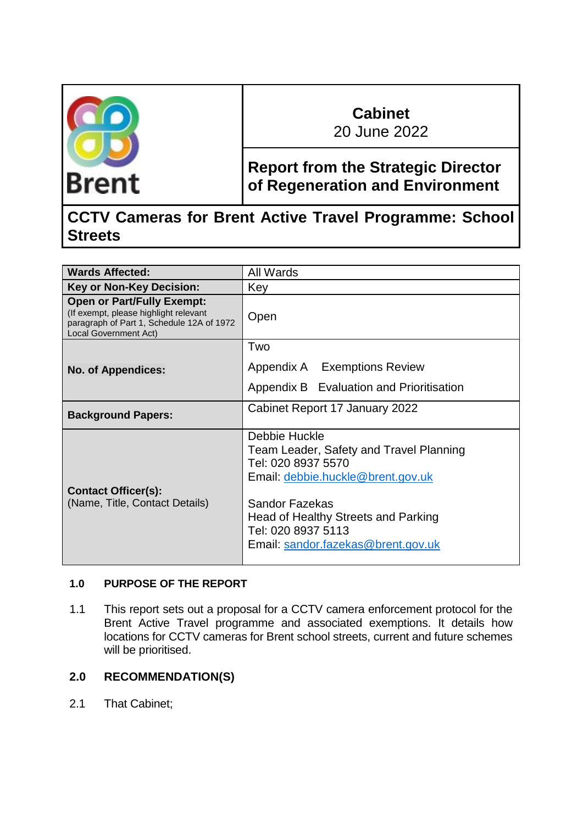

# **Cabinet**

20 June 2022

## **Report from the Strategic Director of Regeneration and Environment**

## **CCTV Cameras for Brent Active Travel Programme: School Streets**

| <b>Wards Affected:</b>                                                                                                                           | All Wards                                                                                                                                                                                                                                       |  |  |
|--------------------------------------------------------------------------------------------------------------------------------------------------|-------------------------------------------------------------------------------------------------------------------------------------------------------------------------------------------------------------------------------------------------|--|--|
| <b>Key or Non-Key Decision:</b>                                                                                                                  | Key                                                                                                                                                                                                                                             |  |  |
| <b>Open or Part/Fully Exempt:</b><br>(If exempt, please highlight relevant<br>paragraph of Part 1, Schedule 12A of 1972<br>Local Government Act) | Open                                                                                                                                                                                                                                            |  |  |
| <b>No. of Appendices:</b>                                                                                                                        | Two<br>Appendix A Exemptions Review<br>Appendix B Evaluation and Prioritisation                                                                                                                                                                 |  |  |
| <b>Background Papers:</b>                                                                                                                        | Cabinet Report 17 January 2022                                                                                                                                                                                                                  |  |  |
| <b>Contact Officer(s):</b><br>(Name, Title, Contact Details)                                                                                     | Debbie Huckle<br>Team Leader, Safety and Travel Planning<br>Tel: 020 8937 5570<br>Email: debbie.huckle@brent.gov.uk<br><b>Sandor Fazekas</b><br>Head of Healthy Streets and Parking<br>Tel: 020 8937 5113<br>Email: sandor.fazekas@brent.gov.uk |  |  |

## **1.0 PURPOSE OF THE REPORT**

1.1 This report sets out a proposal for a CCTV camera enforcement protocol for the Brent Active Travel programme and associated exemptions. It details how locations for CCTV cameras for Brent school streets, current and future schemes will be prioritised.

## **2.0 RECOMMENDATION(S)**

2.1 That Cabinet;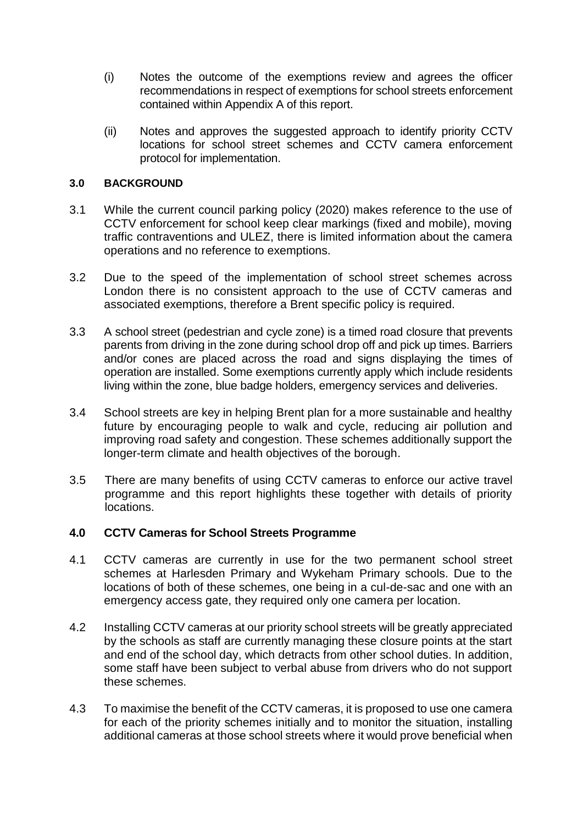- (i) Notes the outcome of the exemptions review and agrees the officer recommendations in respect of exemptions for school streets enforcement contained within Appendix A of this report.
- (ii) Notes and approves the suggested approach to identify priority CCTV locations for school street schemes and CCTV camera enforcement protocol for implementation.

#### **3.0 BACKGROUND**

- 3.1 While the current council parking policy (2020) makes reference to the use of CCTV enforcement for school keep clear markings (fixed and mobile), moving traffic contraventions and ULEZ, there is limited information about the camera operations and no reference to exemptions.
- 3.2 Due to the speed of the implementation of school street schemes across London there is no consistent approach to the use of CCTV cameras and associated exemptions, therefore a Brent specific policy is required.
- 3.3 A school street (pedestrian and cycle zone) is a timed road closure that prevents parents from driving in the zone during school drop off and pick up times. Barriers and/or cones are placed across the road and signs displaying the times of operation are installed. Some exemptions currently apply which include residents living within the zone, blue badge holders, emergency services and deliveries.
- 3.4 School streets are key in helping Brent plan for a more sustainable and healthy future by encouraging people to walk and cycle, reducing air pollution and improving road safety and congestion. These schemes additionally support the longer-term climate and health objectives of the borough.
- 3.5 There are many benefits of using CCTV cameras to enforce our active travel programme and this report highlights these together with details of priority locations.

#### **4.0 CCTV Cameras for School Streets Programme**

- 4.1 CCTV cameras are currently in use for the two permanent school street schemes at Harlesden Primary and Wykeham Primary schools. Due to the locations of both of these schemes, one being in a cul-de-sac and one with an emergency access gate, they required only one camera per location.
- 4.2 Installing CCTV cameras at our priority school streets will be greatly appreciated by the schools as staff are currently managing these closure points at the start and end of the school day, which detracts from other school duties. In addition, some staff have been subject to verbal abuse from drivers who do not support these schemes.
- 4.3 To maximise the benefit of the CCTV cameras, it is proposed to use one camera for each of the priority schemes initially and to monitor the situation, installing additional cameras at those school streets where it would prove beneficial when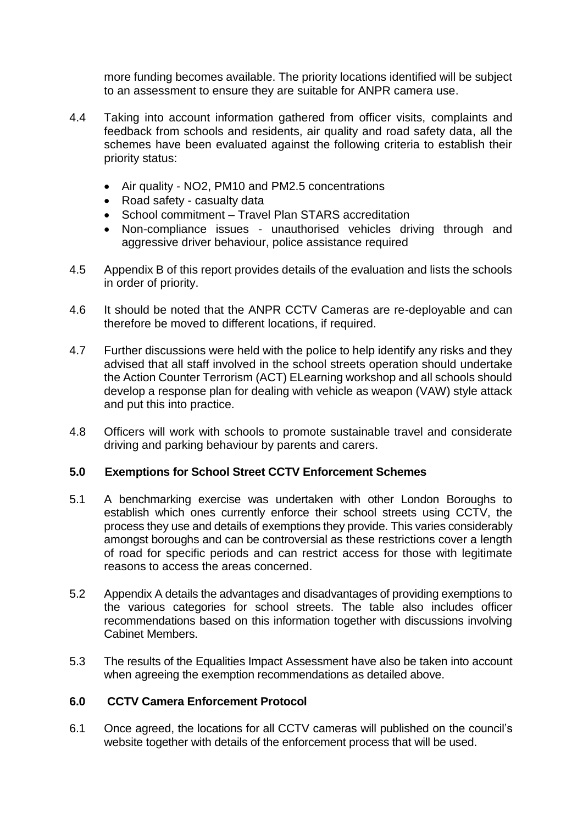more funding becomes available. The priority locations identified will be subject to an assessment to ensure they are suitable for ANPR camera use.

- 4.4 Taking into account information gathered from officer visits, complaints and feedback from schools and residents, air quality and road safety data, all the schemes have been evaluated against the following criteria to establish their priority status:
	- Air quality NO2, PM10 and PM2.5 concentrations
	- Road safety casualty data
	- School commitment Travel Plan STARS accreditation
	- Non-compliance issues unauthorised vehicles driving through and aggressive driver behaviour, police assistance required
- 4.5 Appendix B of this report provides details of the evaluation and lists the schools in order of priority.
- 4.6 It should be noted that the ANPR CCTV Cameras are re-deployable and can therefore be moved to different locations, if required.
- 4.7 Further discussions were held with the police to help identify any risks and they advised that all staff involved in the school streets operation should undertake the Action Counter Terrorism (ACT) ELearning workshop and all schools should develop a response plan for dealing with vehicle as weapon (VAW) style attack and put this into practice.
- 4.8 Officers will work with schools to promote sustainable travel and considerate driving and parking behaviour by parents and carers.

#### **5.0 Exemptions for School Street CCTV Enforcement Schemes**

- 5.1 A benchmarking exercise was undertaken with other London Boroughs to establish which ones currently enforce their school streets using CCTV, the process they use and details of exemptions they provide. This varies considerably amongst boroughs and can be controversial as these restrictions cover a length of road for specific periods and can restrict access for those with legitimate reasons to access the areas concerned.
- 5.2 Appendix A details the advantages and disadvantages of providing exemptions to the various categories for school streets. The table also includes officer recommendations based on this information together with discussions involving Cabinet Members.
- 5.3 The results of the Equalities Impact Assessment have also be taken into account when agreeing the exemption recommendations as detailed above.

#### **6.0 CCTV Camera Enforcement Protocol**

6.1 Once agreed, the locations for all CCTV cameras will published on the council's website together with details of the enforcement process that will be used.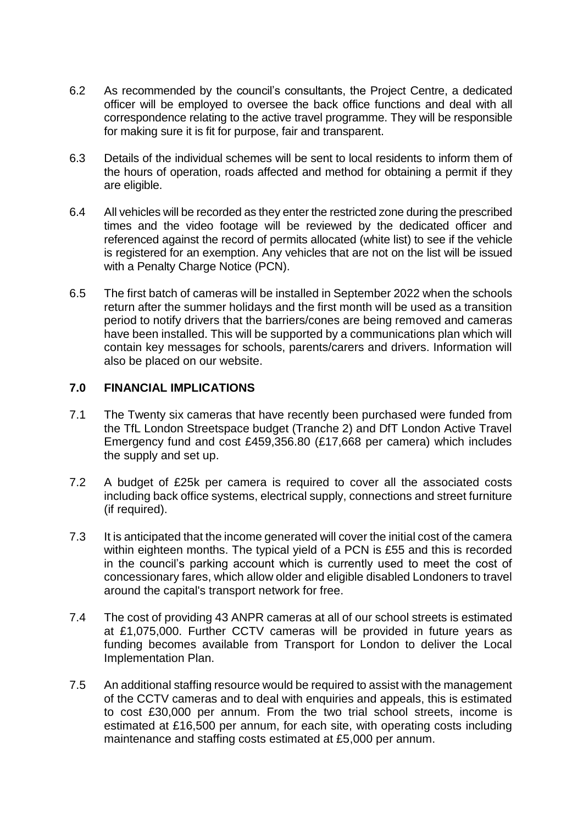- 6.2 As recommended by the council's consultants, the Project Centre, a dedicated officer will be employed to oversee the back office functions and deal with all correspondence relating to the active travel programme. They will be responsible for making sure it is fit for purpose, fair and transparent.
- 6.3 Details of the individual schemes will be sent to local residents to inform them of the hours of operation, roads affected and method for obtaining a permit if they are eligible.
- 6.4 All vehicles will be recorded as they enter the restricted zone during the prescribed times and the video footage will be reviewed by the dedicated officer and referenced against the record of permits allocated (white list) to see if the vehicle is registered for an exemption. Any vehicles that are not on the list will be issued with a Penalty Charge Notice (PCN).
- 6.5 The first batch of cameras will be installed in September 2022 when the schools return after the summer holidays and the first month will be used as a transition period to notify drivers that the barriers/cones are being removed and cameras have been installed. This will be supported by a communications plan which will contain key messages for schools, parents/carers and drivers. Information will also be placed on our website.

#### **7.0 FINANCIAL IMPLICATIONS**

- 7.1 The Twenty six cameras that have recently been purchased were funded from the TfL London Streetspace budget (Tranche 2) and DfT London Active Travel Emergency fund and cost £459,356.80 (£17,668 per camera) which includes the supply and set up.
- 7.2 A budget of £25k per camera is required to cover all the associated costs including back office systems, electrical supply, connections and street furniture (if required).
- 7.3 It is anticipated that the income generated will cover the initial cost of the camera within eighteen months. The typical yield of a PCN is £55 and this is recorded in the council's parking account which is currently used to meet the cost of concessionary fares, which allow older and eligible disabled Londoners to travel around the capital's transport network for free.
- 7.4 The cost of providing 43 ANPR cameras at all of our school streets is estimated at £1,075,000. Further CCTV cameras will be provided in future years as funding becomes available from Transport for London to deliver the Local Implementation Plan.
- 7.5 An additional staffing resource would be required to assist with the management of the CCTV cameras and to deal with enquiries and appeals, this is estimated to cost £30,000 per annum. From the two trial school streets, income is estimated at £16,500 per annum, for each site, with operating costs including maintenance and staffing costs estimated at £5,000 per annum.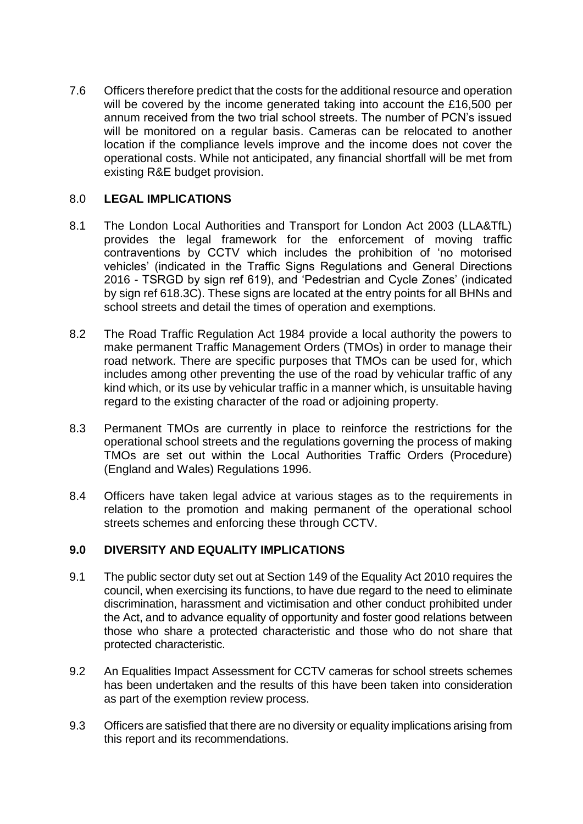7.6 Officers therefore predict that the costs for the additional resource and operation will be covered by the income generated taking into account the £16,500 per annum received from the two trial school streets. The number of PCN's issued will be monitored on a regular basis. Cameras can be relocated to another location if the compliance levels improve and the income does not cover the operational costs. While not anticipated, any financial shortfall will be met from existing R&E budget provision.

### 8.0 **LEGAL IMPLICATIONS**

- 8.1 The London Local Authorities and Transport for London Act 2003 (LLA&TfL) provides the legal framework for the enforcement of moving traffic contraventions by CCTV which includes the prohibition of 'no motorised vehicles' (indicated in the Traffic Signs Regulations and General Directions 2016 - TSRGD by sign ref 619), and 'Pedestrian and Cycle Zones' (indicated by sign ref 618.3C). These signs are located at the entry points for all BHNs and school streets and detail the times of operation and exemptions.
- 8.2 The Road Traffic Regulation Act 1984 provide a local authority the powers to make permanent Traffic Management Orders (TMOs) in order to manage their road network. There are specific purposes that TMOs can be used for, which includes among other preventing the use of the road by vehicular traffic of any kind which, or its use by vehicular traffic in a manner which, is unsuitable having regard to the existing character of the road or adjoining property.
- 8.3 Permanent TMOs are currently in place to reinforce the restrictions for the operational school streets and the regulations governing the process of making TMOs are set out within the Local Authorities Traffic Orders (Procedure) (England and Wales) Regulations 1996.
- 8.4 Officers have taken legal advice at various stages as to the requirements in relation to the promotion and making permanent of the operational school streets schemes and enforcing these through CCTV.

#### **9.0 DIVERSITY AND EQUALITY IMPLICATIONS**

- 9.1 The public sector duty set out at Section 149 of the Equality Act 2010 requires the council, when exercising its functions, to have due regard to the need to eliminate discrimination, harassment and victimisation and other conduct prohibited under the Act, and to advance equality of opportunity and foster good relations between those who share a protected characteristic and those who do not share that protected characteristic.
- 9.2 An Equalities Impact Assessment for CCTV cameras for school streets schemes has been undertaken and the results of this have been taken into consideration as part of the exemption review process.
- 9.3 Officers are satisfied that there are no diversity or equality implications arising from this report and its recommendations.